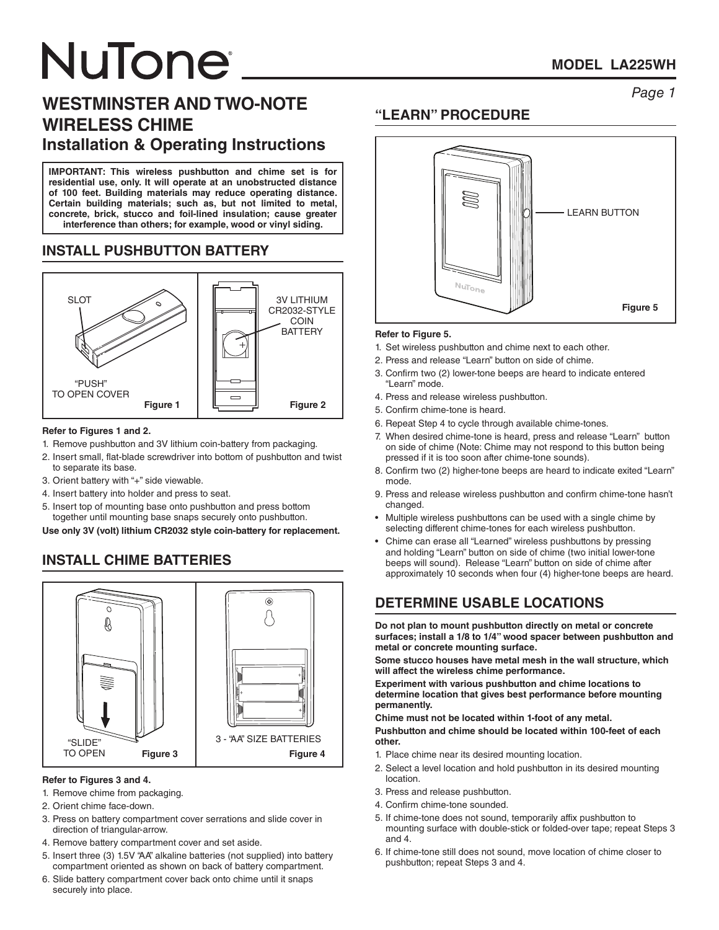# *Page 1* **WESTMINSTER AND TWO-NOTE WIRELESS CHIME Installation & Operating Instructions**

**IMPORTANT: This wireless pushbutton and chime set is for residential use, only. It will operate at an unobstructed distance of 100 feet. Building materials may reduce operating distance. Certain building materials; such as, but not limited to metal, concrete, brick, stucco and foil-lined insulation; cause greater interference than others; for example, wood or vinyl siding.**

# **INSTALL PUSHBUTTON BATTERY**



#### **Refer to Figures 1 and 2.**

- 1. Remove pushbutton and 3V lithium coin-battery from packaging.
- 2. Insert small, flat-blade screwdriver into bottom of pushbutton and twist to separate its base.
- 3. Orient battery with "+" side viewable.
- 4. Insert battery into holder and press to seat.
- 5. Insert top of mounting base onto pushbutton and press bottom together until mounting base snaps securely onto pushbutton.

**Use only 3V (volt) lithium CR2032 style coin-battery for replacement.**

# **INSTALL CHIME BATTERIES**



#### **Refer to Figures 3 and 4.**

- 1. Remove chime from packaging.
- 2. Orient chime face-down.
- 3. Press on battery compartment cover serrations and slide cover in direction of triangular-arrow.
- 4. Remove battery compartment cover and set aside.
- 5. Insert three (3) 1.5V "AA" alkaline batteries (not supplied) into battery compartment oriented as shown on back of battery compartment.
- 6. Slide battery compartment cover back onto chime until it snaps securely into place.

### **"LEARN" PROCEDURE**



#### **Refer to Figure 5.**

- 1. Set wireless pushbutton and chime next to each other.
- 2. Press and release "Learn" button on side of chime.
- 3. Confirm two (2) lower-tone beeps are heard to indicate entered "Learn" mode.
- 4. Press and release wireless pushbutton.
- 5. Confirm chime-tone is heard.
- 6. Repeat Step 4 to cycle through available chime-tones.
- 7. When desired chime-tone is heard, press and release "Learn" button on side of chime (Note: Chime may not respond to this button being pressed if it is too soon after chime-tone sounds).
- 8. Confirm two (2) higher-tone beeps are heard to indicate exited "Learn" mode.
- 9. Press and release wireless pushbutton and confirm chime-tone hasn't changed.
- Multiple wireless pushbuttons can be used with a single chime by selecting different chime-tones for each wireless pushbutton.
- Chime can erase all "Learned" wireless pushbuttons by pressing and holding "Learn" button on side of chime (two initial lower-tone beeps will sound). Release "Learn" button on side of chime after approximately 10 seconds when four (4) higher-tone beeps are heard.

# **DETERMINE USABLE LOCATIONS**

**Do not plan to mount pushbutton directly on metal or concrete surfaces; install a 1/8 to 1/4" wood spacer between pushbutton and metal or concrete mounting surface.** 

**Some stucco houses have metal mesh in the wall structure, which will affect the wireless chime performance.** 

**Experiment with various pushbutton and chime locations to determine location that gives best performance before mounting permanently.**

**Chime must not be located within 1-foot of any metal.** 

**Pushbutton and chime should be located within 100-feet of each other.**

- 1. Place chime near its desired mounting location.
- 2. Select a level location and hold pushbutton in its desired mounting location.
- 3. Press and release pushbutton.
- 4. Confirm chime-tone sounded.
- 5. If chime-tone does not sound, temporarily affix pushbutton to mounting surface with double-stick or folded-over tape; repeat Steps 3 and 4.
- 6. If chime-tone still does not sound, move location of chime closer to pushbutton; repeat Steps 3 and 4.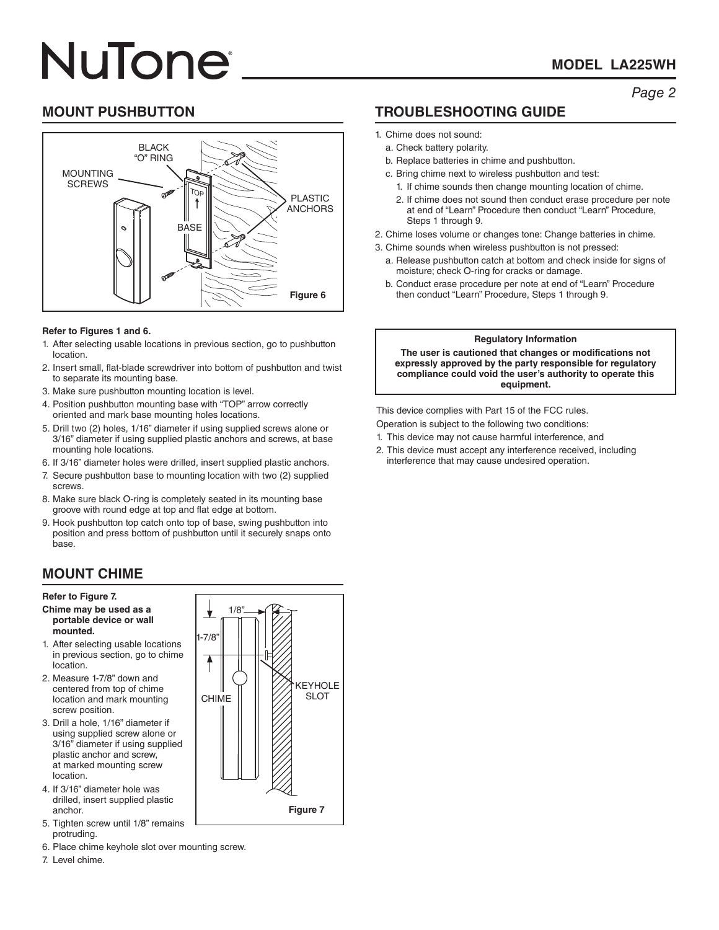### **MODEL LA225WH**

### *Page 2*

### **MOUNT PUSHBUTTON**



#### **Refer to Figures 1 and 6.**

- 1. After selecting usable locations in previous section, go to pushbutton location.
- 2. Insert small, flat-blade screwdriver into bottom of pushbutton and twist to separate its mounting base.
- 3. Make sure pushbutton mounting location is level.
- 4. Position pushbutton mounting base with "TOP" arrow correctly oriented and mark base mounting holes locations.
- 5. Drill two (2) holes, 1/16" diameter if using supplied screws alone or 3/16" diameter if using supplied plastic anchors and screws, at base mounting hole locations.
- 6. If 3/16" diameter holes were drilled, insert supplied plastic anchors.
- 7. Secure pushbutton base to mounting location with two (2) supplied screws.
- 8. Make sure black O-ring is completely seated in its mounting base groove with round edge at top and flat edge at bottom.
- 9. Hook pushbutton top catch onto top of base, swing pushbutton into position and press bottom of pushbutton until it securely snaps onto base.

# **MOUNT CHIME**

#### **Refer to Figure 7.**

#### **Chime may be used as a portable device or wall mounted.**

- 1. After selecting usable locations in previous section, go to chime location.
- 2. Measure 1-7/8" down and centered from top of chime location and mark mounting screw position.
- 3. Drill a hole, 1/16" diameter if using supplied screw alone or 3/16" diameter if using supplied plastic anchor and screw, at marked mounting screw location.
- 4. If 3/16" diameter hole was drilled, insert supplied plastic anchor.
- 5. Tighten screw until 1/8" remains protruding.
- 6. Place chime keyhole slot over mounting screw.
- 7. Level chime.



# **TROUBLESHOOTING GUIDE**

- 1. Chime does not sound:
- a. Check battery polarity.
- b. Replace batteries in chime and pushbutton.
- c. Bring chime next to wireless pushbutton and test:
	- 1. If chime sounds then change mounting location of chime. 2. If chime does not sound then conduct erase procedure per note
	- at end of "Learn" Procedure then conduct "Learn" Procedure, Steps 1 through 9.
- 2. Chime loses volume or changes tone: Change batteries in chime.
- 3. Chime sounds when wireless pushbutton is not pressed:
	- a. Release pushbutton catch at bottom and check inside for signs of moisture; check O-ring for cracks or damage.
	- b. Conduct erase procedure per note at end of "Learn" Procedure then conduct "Learn" Procedure, Steps 1 through 9.

#### **Regulatory Information**

**The user is cautioned that changes or modifications not expressly approved by the party responsible for regulatory compliance could void the user's authority to operate this equipment.**

This device complies with Part 15 of the FCC rules. Operation is subject to the following two conditions:

- 1. This device may not cause harmful interference, and
- 2. This device must accept any interference received, including interference that may cause undesired operation.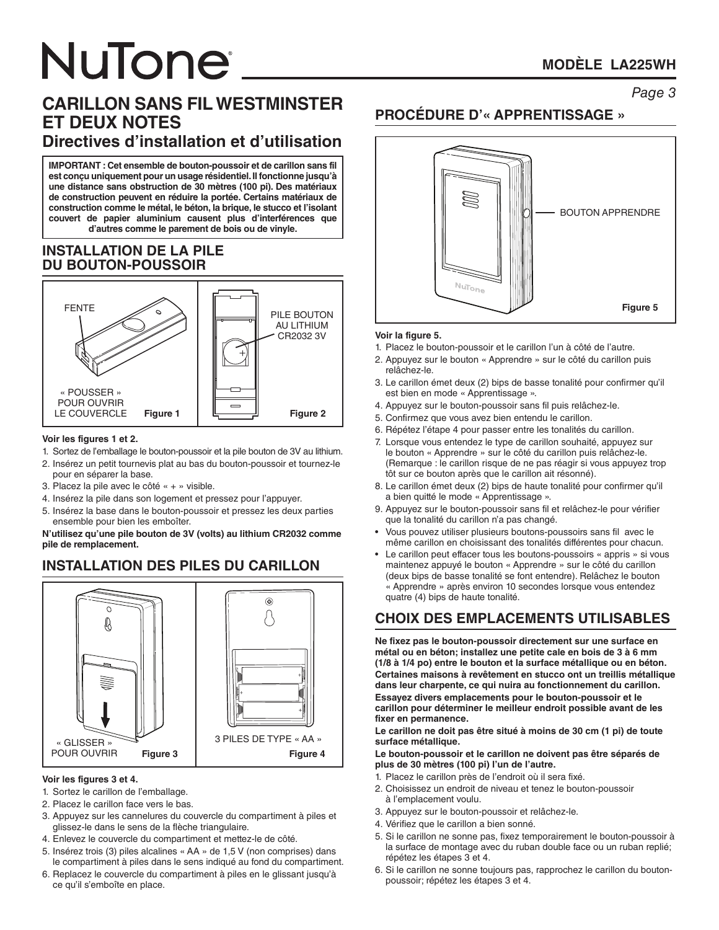# *Page 3* **CARILLON SANS FIL WESTMINSTER ET DEUX NOTES Directives d'installation et d'utilisation**

**IMPORTANT : Cet ensemble de bouton-poussoir et de carillon sans fil est conçu uniquement pour un usage résidentiel. Il fonctionne jusqu'à une distance sans obstruction de 30 mètres (100 pi). Des matériaux de construction peuvent en réduire la portée. Certains matériaux de construction comme le métal, le béton, la brique, le stucco et l'isolant couvert de papier aluminium causent plus d'interférences que d'autres comme le parement de bois ou de vinyle.**

#### **INSTALLATION DE LA PILE DU BOUTON-POUSSOIR**



#### **Voir les figures 1 et 2.**

- 1. Sortez de l'emballage le bouton-poussoir et la pile bouton de 3V au lithium.
- 2. Insérez un petit tournevis plat au bas du bouton-poussoir et tournez-le pour en séparer la base.
- 3. Placez la pile avec le côté « + » visible.
- 4. Insérez la pile dans son logement et pressez pour l'appuyer.
- 5. Insérez la base dans le bouton-poussoir et pressez les deux parties ensemble pour bien les emboîter.

#### **N'utilisez qu'une pile bouton de 3V (volts) au lithium CR2032 comme pile de remplacement.**

# **INSTALLATION DES PILES DU CARILLON**



#### **Voir les figures 3 et 4.**

- 1. Sortez le carillon de l'emballage.
- 2. Placez le carillon face vers le bas.
- 3. Appuyez sur les cannelures du couvercle du compartiment à piles et glissez-le dans le sens de la flèche triangulaire.
- 4. Enlevez le couvercle du compartiment et mettez-le de côté.
- 5. Insérez trois (3) piles alcalines « AA » de 1,5 V (non comprises) dans le compartiment à piles dans le sens indiqué au fond du compartiment.
- 6. Replacez le couvercle du compartiment à piles en le glissant jusqu'à ce qu'il s'emboîte en place.

# **PROCÉDURE D'« APPRENTISSAGE »**



#### **Voir la figure 5.**

- 1. Placez le bouton-poussoir et le carillon l'un à côté de l'autre.
- 2. Appuyez sur le bouton « Apprendre » sur le côté du carillon puis relâchez-le.
- 3. Le carillon émet deux (2) bips de basse tonalité pour confirmer qu'il est bien en mode « Apprentissage ».
- 4. Appuyez sur le bouton-poussoir sans fil puis relâchez-le.
- 5. Confirmez que vous avez bien entendu le carillon.
- 6. Répétez l'étape 4 pour passer entre les tonalités du carillon.
- 7. Lorsque vous entendez le type de carillon souhaité, appuyez sur le bouton « Apprendre » sur le côté du carillon puis relâchez-le. (Remarque : le carillon risque de ne pas réagir si vous appuyez trop tôt sur ce bouton après que le carillon ait résonné).
- 8. Le carillon émet deux (2) bips de haute tonalité pour confirmer qu'il a bien quitté le mode « Apprentissage ».
- 9. Appuyez sur le bouton-poussoir sans fil et relâchez-le pour vérifier que la tonalité du carillon n'a pas changé.
- Vous pouvez utiliser plusieurs boutons-poussoirs sans fil avec le même carillon en choisissant des tonalités différentes pour chacun.
- Le carillon peut effacer tous les boutons-poussoirs « appris » si vous maintenez appuyé le bouton « Apprendre » sur le côté du carillon (deux bips de basse tonalité se font entendre). Relâchez le bouton « Apprendre » après environ 10 secondes lorsque vous entendez quatre (4) bips de haute tonalité.

# **CHOIX DES EMPLACEMENTS UTILISABLES**

**Ne fixez pas le bouton-poussoir directement sur une surface en métal ou en béton; installez une petite cale en bois de 3 à 6 mm (1/8 à 1/4 po) entre le bouton et la surface métallique ou en béton. Certaines maisons à revêtement en stucco ont un treillis métallique dans leur charpente, ce qui nuira au fonctionnement du carillon. Essayez divers emplacements pour le bouton-poussoir et le carillon pour déterminer le meilleur endroit possible avant de les fixer en permanence.** 

**Le carillon ne doit pas être situé à moins de 30 cm (1 pi) de toute surface métallique.** 

**Le bouton-poussoir et le carillon ne doivent pas être séparés de plus de 30 mètres (100 pi) l'un de l'autre.**

- 1. Placez le carillon près de l'endroit où il sera fixé.
- 2. Choisissez un endroit de niveau et tenez le bouton-poussoir à l'emplacement voulu.
- 3. Appuyez sur le bouton-poussoir et relâchez-le.
- 4. Vérifiez que le carillon a bien sonné.
- 5. Si le carillon ne sonne pas, fixez temporairement le bouton-poussoir à la surface de montage avec du ruban double face ou un ruban replié; répétez les étapes 3 et 4.
- 6. Si le carillon ne sonne toujours pas, rapprochez le carillon du boutonpoussoir; répétez les étapes 3 et 4.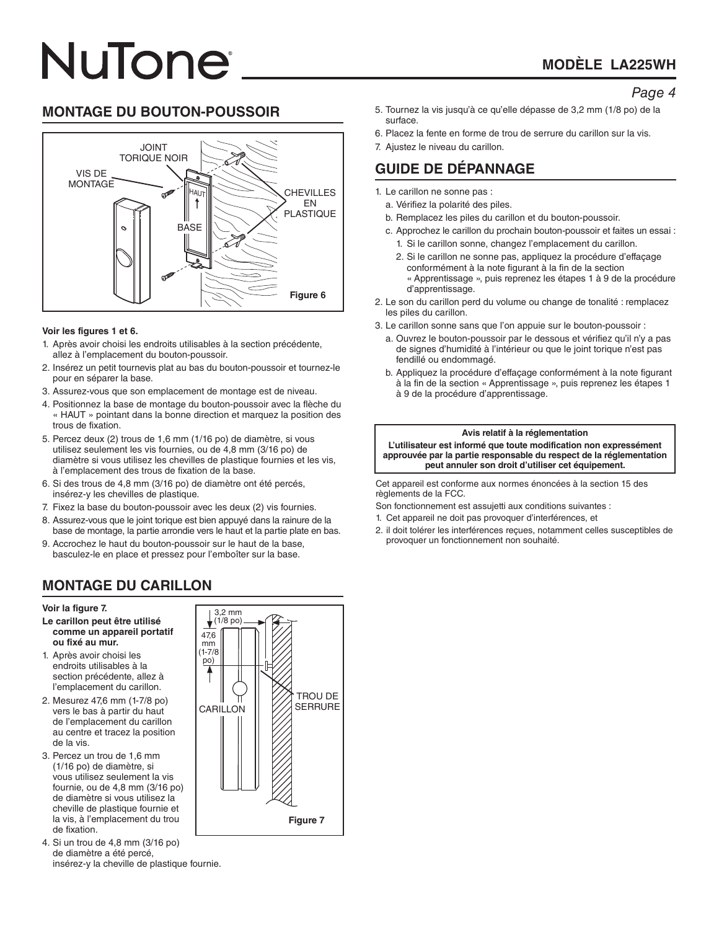# **MODÈLE LA225WH**

#### *Page 4*

### **MONTAGE DU BOUTON-POUSSOIR**



#### **Voir les figures 1 et 6.**

- 1. Après avoir choisi les endroits utilisables à la section précédente, allez à l'emplacement du bouton-poussoir.
- 2. Insérez un petit tournevis plat au bas du bouton-poussoir et tournez-le pour en séparer la base.
- 3. Assurez-vous que son emplacement de montage est de niveau.
- 4. Positionnez la base de montage du bouton-poussoir avec la flèche du « HAUT » pointant dans la bonne direction et marquez la position des trous de fixation.
- 5. Percez deux (2) trous de 1,6 mm (1/16 po) de diamètre, si vous utilisez seulement les vis fournies, ou de 4,8 mm (3/16 po) de diamètre si vous utilisez les chevilles de plastique fournies et les vis, à l'emplacement des trous de fixation de la base.
- 6. Si des trous de 4,8 mm (3/16 po) de diamètre ont été percés, insérez-y les chevilles de plastique.
- 7. Fixez la base du bouton-poussoir avec les deux (2) vis fournies.
- 8. Assurez-vous que le joint torique est bien appuyé dans la rainure de la base de montage, la partie arrondie vers le haut et la partie plate en bas.
- 9. Accrochez le haut du bouton-poussoir sur le haut de la base, basculez-le en place et pressez pour l'emboîter sur la base.

#### 5. Tournez la vis jusqu'à ce qu'elle dépasse de 3,2 mm (1/8 po) de la surface.

- 6. Placez la fente en forme de trou de serrure du carillon sur la vis.
- 7. Ajustez le niveau du carillon.

# **GUIDE DE DÉPANNAGE**

- 1. Le carillon ne sonne pas :
	- a. Vérifiez la polarité des piles.
	- b. Remplacez les piles du carillon et du bouton-poussoir.
	- c. Approchez le carillon du prochain bouton-poussoir et faites un essai : 1. Si le carillon sonne, changez l'emplacement du carillon.
		- 2. Si le carillon ne sonne pas, appliquez la procédure d'effaçage conformément à la note figurant à la fin de la section « Apprentissage », puis reprenez les étapes 1 à 9 de la procédure d'apprentissage.
- 2. Le son du carillon perd du volume ou change de tonalité : remplacez les piles du carillon.
- 3. Le carillon sonne sans que l'on appuie sur le bouton-poussoir :
	- a. Ouvrez le bouton-poussoir par le dessous et vérifiez qu'il n'y a pas de signes d'humidité à l'intérieur ou que le joint torique n'est pas fendillé ou endommagé.
	- b. Appliquez la procédure d'effaçage conformément à la note figurant à la fin de la section « Apprentissage », puis reprenez les étapes 1 à 9 de la procédure d'apprentissage.

#### **Avis relatif à la réglementation**

**L'utilisateur est informé que toute modification non expressément approuvée par la partie responsable du respect de la réglementation peut annuler son droit d'utiliser cet équipement.**

Cet appareil est conforme aux normes énoncées à la section 15 des règlements de la FCC.

Son fonctionnement est assujetti aux conditions suivantes :

- 1. Cet appareil ne doit pas provoquer d'interférences, et
- 2. il doit tolérer les interférences reçues, notamment celles susceptibles de provoquer un fonctionnement non souhaité.

# **MONTAGE DU CARILLON**

#### **Voir la figure 7.**

- **Le carillon peut être utilisé comme un appareil portatif ou fixé au mur.**
- 1. Après avoir choisi les endroits utilisables à la section précédente, allez à l'emplacement du carillon.
- 2. Mesurez 47,6 mm (1-7/8 po) vers le bas à partir du haut de l'emplacement du carillon au centre et tracez la position de la vis.
- 3. Percez un trou de 1,6 mm (1/16 po) de diamètre, si vous utilisez seulement la vis fournie, ou de 4,8 mm (3/16 po) de diamètre si vous utilisez la cheville de plastique fournie et la vis, à l'emplacement du trou de fixation.
- 4. Si un trou de 4,8 mm (3/16 po) de diamètre a été percé, insérez-y la cheville de plastique fournie.

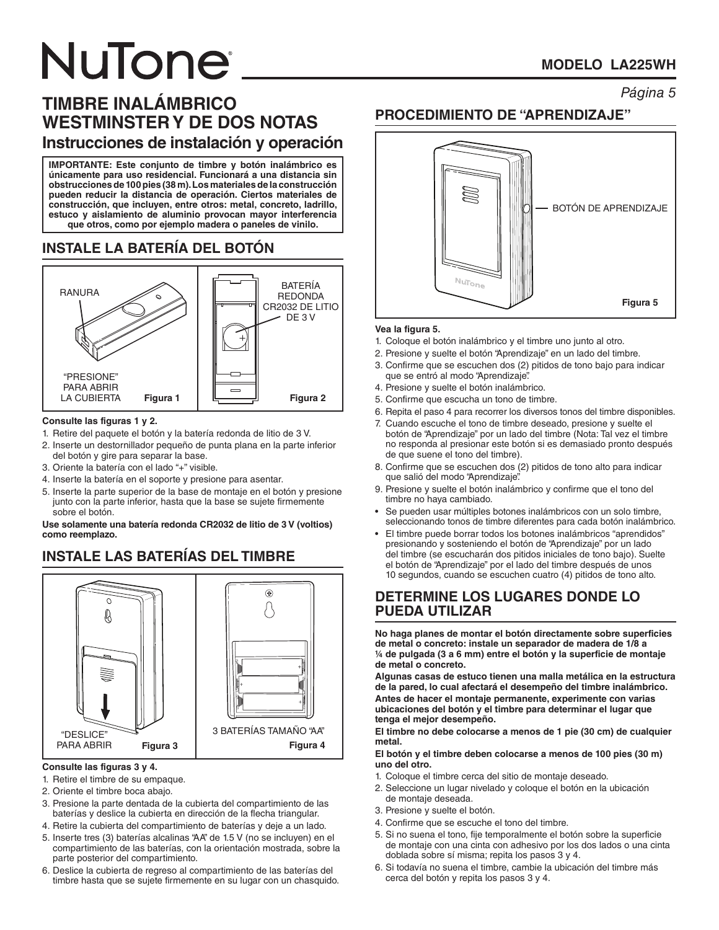# **MODELO LA225WH**

# *Página 5* **TIMBRE INALÁMBRICO WESTMINSTER Y DE DOS NOTAS Instrucciones de instalación y operación**

**IMPORTANTE: Este conjunto de timbre y botón inalámbrico es únicamente para uso residencial. Funcionará a una distancia sin obstrucciones de 100 pies (38 m). Los materiales de la construcción pueden reducir la distancia de operación. Ciertos materiales de construcción, que incluyen, entre otros: metal, concreto, ladrillo, estuco y aislamiento de aluminio provocan mayor interferencia que otros, como por ejemplo madera o paneles de vinilo.**

# **INSTALE LA BATERÍA DEL BOTÓN**



#### **Consulte las figuras 1 y 2.**

- 1. Retire del paquete el botón y la batería redonda de litio de 3 V.
- 2. Inserte un destornillador pequeño de punta plana en la parte inferior del botón y gire para separar la base.
- 3. Oriente la batería con el lado "+" visible.
- 4. Inserte la batería en el soporte y presione para asentar.
- 5. Inserte la parte superior de la base de montaje en el botón y presione junto con la parte inferior, hasta que la base se sujete firmemente sobre el botón.

**Use solamente una batería redonda CR2032 de litio de 3 V (voltios) como reemplazo.**

# **INSTALE LAS BATERÍAS DEL TIMBRE**



#### **Consulte las figuras 3 y 4.**

- 1. Retire el timbre de su empaque.
- 2. Oriente el timbre boca abajo.
- 3. Presione la parte dentada de la cubierta del compartimiento de las baterías y deslice la cubierta en dirección de la flecha triangular.
- 4. Retire la cubierta del compartimiento de baterías y deje a un lado.
- 5. Inserte tres (3) baterías alcalinas "AA" de 1.5 V (no se incluyen) en el compartimiento de las baterías, con la orientación mostrada, sobre la parte posterior del compartimiento.
- 6. Deslice la cubierta de regreso al compartimiento de las baterías del timbre hasta que se sujete firmemente en su lugar con un chasquido.

### **PROCEDIMIENTO DE "APRENDIZAJE"**



#### **Vea la figura 5.**

- 1. Coloque el botón inalámbrico y el timbre uno junto al otro.
- 2. Presione y suelte el botón "Aprendizaje" en un lado del timbre.
- 3. Confirme que se escuchen dos (2) pitidos de tono bajo para indicar que se entró al modo "Aprendizaje".
- 4. Presione y suelte el botón inalámbrico.
- 5. Confirme que escucha un tono de timbre.
- 6. Repita el paso 4 para recorrer los diversos tonos del timbre disponibles.
- 7. Cuando escuche el tono de timbre deseado, presione y suelte el botón de "Aprendizaje" por un lado del timbre (Nota: Tal vez el timbre no responda al presionar este botón si es demasiado pronto después de que suene el tono del timbre).
- 8. Confirme que se escuchen dos (2) pitidos de tono alto para indicar que salió del modo "Aprendizaje".
- 9. Presione y suelte el botón inalámbrico y confirme que el tono del timbre no haya cambiado.
- Se pueden usar múltiples botones inalámbricos con un solo timbre, seleccionando tonos de timbre diferentes para cada botón inalámbrico.
- El timbre puede borrar todos los botones inalámbricos "aprendidos" presionando y sosteniendo el botón de "Aprendizaje" por un lado del timbre (se escucharán dos pitidos iniciales de tono bajo). Suelte el botón de "Aprendizaje" por el lado del timbre después de unos 10 segundos, cuando se escuchen cuatro (4) pitidos de tono alto.

#### **DETERMINE LOS LUGARES DONDE LO PUEDA UTILIZAR**

**No haga planes de montar el botón directamente sobre superficies de metal o concreto: instale un separador de madera de 1/8 a ¼ de pulgada (3 a 6 mm) entre el botón y la superficie de montaje de metal o concreto.** 

**Algunas casas de estuco tienen una malla metálica en la estructura de la pared, lo cual afectará el desempeño del timbre inalámbrico. Antes de hacer el montaje permanente, experimente con varias ubicaciones del botón y el timbre para determinar el lugar que tenga el mejor desempeño.** 

**El timbre no debe colocarse a menos de 1 pie (30 cm) de cualquier metal.** 

**El botón y el timbre deben colocarse a menos de 100 pies (30 m) uno del otro.**

- 1. Coloque el timbre cerca del sitio de montaje deseado.
- 2. Seleccione un lugar nivelado y coloque el botón en la ubicación de montaje deseada.
- 3. Presione y suelte el botón.
- 4. Confirme que se escuche el tono del timbre.
- 5. Si no suena el tono, fije temporalmente el botón sobre la superficie de montaje con una cinta con adhesivo por los dos lados o una cinta doblada sobre sí misma; repita los pasos 3 y 4.
- 6. Si todavía no suena el timbre, cambie la ubicación del timbre más cerca del botón y repita los pasos 3 y 4.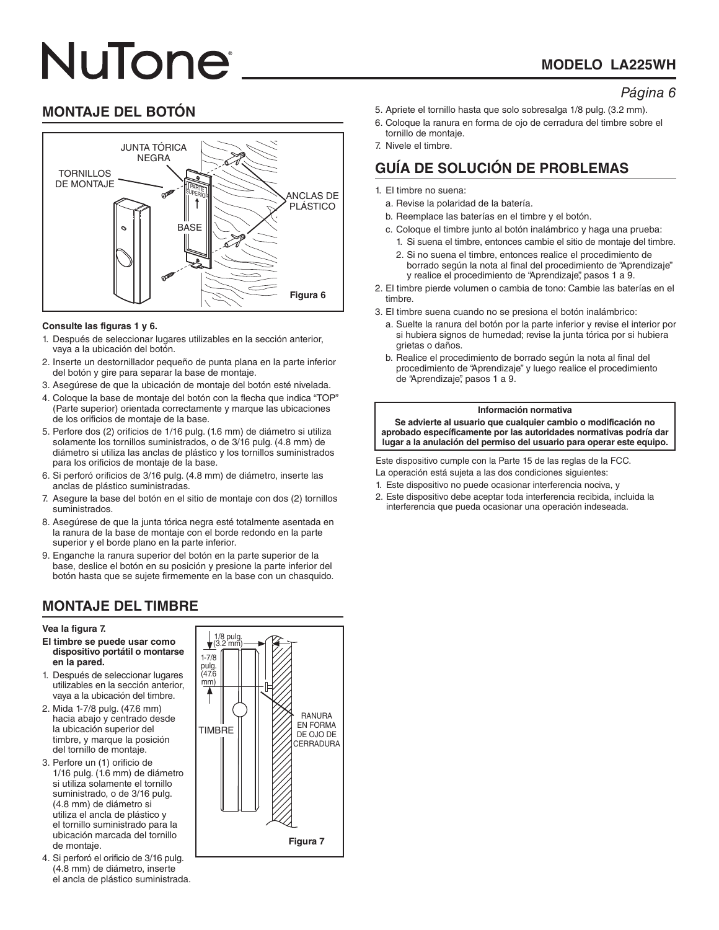# **MODELO LA225WH**

#### *Página 6*

# **MONTAJE DEL BOTÓN**



#### **Consulte las figuras 1 y 6.**

- 1. Después de seleccionar lugares utilizables en la sección anterior, vaya a la ubicación del botón.
- 2. Inserte un destornillador pequeño de punta plana en la parte inferior del botón y gire para separar la base de montaje.
- 3. Asegúrese de que la ubicación de montaje del botón esté nivelada.
- 4. Coloque la base de montaje del botón con la flecha que indica "TOP" (Parte superior) orientada correctamente y marque las ubicaciones de los orificios de montaje de la base.
- 5. Perfore dos (2) orificios de 1/16 pulg. (1.6 mm) de diámetro si utiliza solamente los tornillos suministrados, o de 3/16 pulg. (4.8 mm) de diámetro si utiliza las anclas de plástico y los tornillos suministrados para los orificios de montaje de la base.
- 6. Si perforó orificios de 3/16 pulg. (4.8 mm) de diámetro, inserte las anclas de plástico suministradas.
- 7. Asegure la base del botón en el sitio de montaje con dos (2) tornillos suministrados.
- 8. Asegúrese de que la junta tórica negra esté totalmente asentada en la ranura de la base de montaje con el borde redondo en la parte superior y el borde plano en la parte inferior.
- 9. Enganche la ranura superior del botón en la parte superior de la base, deslice el botón en su posición y presione la parte inferior del botón hasta que se sujete firmemente en la base con un chasquido.

# **MONTAJE DEL TIMBRE**

#### **Vea la figura 7.**

- **El timbre se puede usar como dispositivo portátil o montarse en la pared.**
- 1. Después de seleccionar lugares utilizables en la sección anterior, vaya a la ubicación del timbre.
- 2. Mida 1-7/8 pulg. (47.6 mm) hacia abajo y centrado desde la ubicación superior del timbre, y marque la posición del tornillo de montaje.
- 3. Perfore un (1) orificio de 1/16 pulg. (1.6 mm) de diámetro si utiliza solamente el tornillo suministrado, o de 3/16 pulg. (4.8 mm) de diámetro si utiliza el ancla de plástico y el tornillo suministrado para la ubicación marcada del tornillo de montaje.
- 4. Si perforó el orificio de 3/16 pulg. (4.8 mm) de diámetro, inserte el ancla de plástico suministrada.



- 5. Apriete el tornillo hasta que solo sobresalga 1/8 pulg. (3.2 mm).
- 6. Coloque la ranura en forma de ojo de cerradura del timbre sobre el tornillo de montaje.
- 7. Nivele el timbre.

# **GUÍA DE SOLUCIÓN DE PROBLEMAS**

- 1. El timbre no suena:
	- a. Revise la polaridad de la batería.
	- b. Reemplace las baterías en el timbre y el botón.
	- c. Coloque el timbre junto al botón inalámbrico y haga una prueba:
		- 1. Si suena el timbre, entonces cambie el sitio de montaje del timbre.
		- 2. Si no suena el timbre, entonces realice el procedimiento de borrado según la nota al final del procedimiento de "Aprendizaje" y realice el procedimiento de "Aprendizaje", pasos 1 a 9.
- 2. El timbre pierde volumen o cambia de tono: Cambie las baterías en el timbre.
- 3. El timbre suena cuando no se presiona el botón inalámbrico:
	- a. Suelte la ranura del botón por la parte inferior y revise el interior por si hubiera signos de humedad; revise la junta tórica por si hubiera grietas o daños.
	- b. Realice el procedimiento de borrado según la nota al final del procedimiento de "Aprendizaje" y luego realice el procedimiento de "Aprendizaje", pasos 1 a 9.

#### **Información normativa**

**Se advierte al usuario que cualquier cambio o modificación no aprobado específicamente por las autoridades normativas podría dar lugar a la anulación del permiso del usuario para operar este equipo.**

Este dispositivo cumple con la Parte 15 de las reglas de la FCC.

- La operación está sujeta a las dos condiciones siguientes:
- 1. Este dispositivo no puede ocasionar interferencia nociva, y
- 2. Este dispositivo debe aceptar toda interferencia recibida, incluida la interferencia que pueda ocasionar una operación indeseada.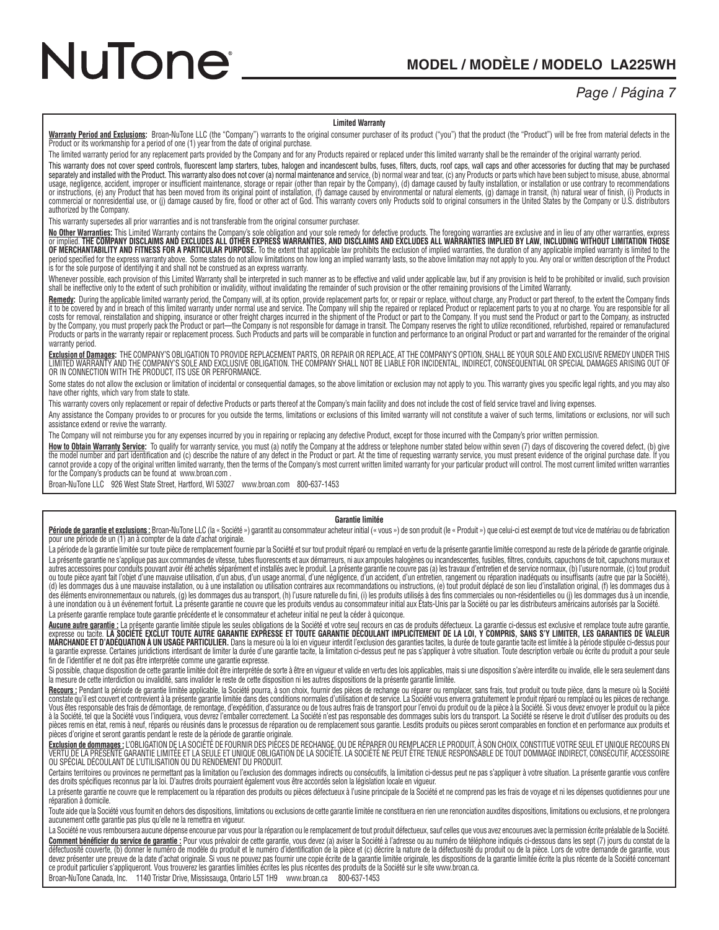### *Page / Página 7*

#### **Limited Warranty**

<u>Warranty Period and Exclusions</u>: Broan-NuTone LLC (the "Company") warrants to the original consumer purchaser of its product ("you") that the product (the "Product") will be free from material defects in the<br>Product or it

The limited warranty period for any replacement parts provided by the Company and for any Products repaired or replaced under this limited warranty shall be the remainder of the original warranty period.

This warranty does not cover speed controls, fluorescent lamp starters, tubes, halogen and incandescent bulbs, fuses, filters, ducts, roof caps, wall caps and other accessories for ducting that may be purchased exparately authorized by the Company.

This warranty supersedes all prior warranties and is not transferable from the original consumer purchaser.

<u>No Other Warranties</u>: This Limited Warranty contains the Company's sole obligation and your sole remedy for defective products. The foregoing warranties are exclusive and in lieu of any other warranties, express<br>or implie OF MERCHANTABILITY AND FITNESS FOR A PARTICULAR PURPOSE. To the extent that applicable law prohibits the exclusion of implied warranties, the duration of any applicable implied warranty is limited to the period specified for the express warranty above. Some states do not allow limitations on how long an implied warranty lasts, so the above limitation may not apply to you. Any oral or written description of the Product is for the sole purpose of identifying it and shall not be construed as an express warranty.

Whenever possible, each provision of this Limited Warranty shall be interpreted in such manner as to be effective and valid under applicable law, but if any provision is held to be prohibited or invalid, such provision shall be ineffective only to the extent of such prohibition or invalidity, without invalidating the remainder of such provision or the other remaining provisions of the Limited Warranty.

<u>Remedy</u>: During the applicable limited warranty period, the Company will, at its option, provide replacement parts for, or repair or replace, without charge, any Product or part thereof, to the extent the Company finds to Products or parts in the warranty repair or replacement process. Such Products and parts will be comparable in function and performance to an original Product or part and warranted for the remainder of the original warranty period.

<u>Exclusion of Damages</u>: THE COMPANY'S OBLIGATION TO PROVIDE REPLACEMENT PARTS, OR REPAIR OR REPLACE, AT THE COMPANY'S OPTION, SHALL BE YOUR SOLE AND EXCLUSIVE REMEDY UNDER THIS<br>LIMITED WARRANTY AND THE COMPANY'S SOLE AND E OR IN CONNECTION WITH THE PRODUCT, ITS USE OR PERFORMANCE.

Some states do not allow the exclusion or limitation of incidental or consequential damages, so the above limitation or exclusion may not apply to you. This warranty gives you specific legal rights, and you may also have other rights, which vary from state to state.

This warranty covers only replacement or repair of defective Products or parts thereof at the Company's main facility and does not include the cost of field service travel and living expenses.

Any assistance the Company provides to or procures for you outside the terms, limitations or exclusions or exclusions of this limited warranty will not constitute a waiver of such terms, limitations or exclusions, nor will assistance extend or revive the warranty.

The Company will not reimburse you for any expenses incurred by you in repairing or replacing any defective Product, except for those incurred with the Company's prior written permission.

How to Obtain Warranty Service: To qualify for warranty service, you must (a) notify the Company at the address or telephone number stated below within seven (7) days of discovering the covered defect, (b) give the model number and part identification and (c) describe the nature of any defect in the Product or part. At the time of requesting warranty service, you must present evidence of the original purchase date. If you<br>cannot for the Company's products can be found at www.broan.com .

Broan-NuTone LLC 926 West State Street, Hartford, WI 53027 www.broan.com 800-637-1453

#### **Garantie limitée**

Période de garantie et exclusions : Broan-NuTone LLC (la « Société ») garantit au consommateur acheteur initial (« vous ») de son produit (le « Produit ») que celui-ci est exempt de tout vice de matériau ou de fabrication pour une période de un (1) an à compter de la date d'achat originale.

La période de la garantie limitée sur toute pièce de remplacement fournie par la Société et sur tout produit réparé ou remplacé en vertu de la présente garantie limitée correspond au reste de la période de garantie origina La présente garantie ne s'applique pas aux commandes de vitesse, tubes fluorescents et aux démarreurs, ni aux ampoules halogènes ou incandescentes, fusibles, filtres, conduits, capuchons de toit, capuchons muraux et autres accessoires pour conduits pouvant avoir été achetés séparément et installés avec le produit. La présente garantie ne couvre pas (a) les travaux d'entretien et de service normaux, (b) l'usure normale, (c) tout produi (d) les dommages dus à une mauvaise installation, ou à une installation ou utilisation contraires aux recommandations ou instructions, (e) tout produit déplacé de son lieu d'installation original, (f) les dommages dus à des éléments environnementaux ou naturels, (g) les dommages dus au transport, (h) l'usure naturelle du fini, (i) les produits utilisés à des fins commerciales ou non-résidentielles ou (j) les dommages dus à un incendie, à une inondation ou à un événement fortuit. La présente garantie ne couvre que les produits vendus au consommateur initial aux États-Unis par la Société ou par les distributeurs américains autorisés par la Société. La présente garantie remplace toute garantie précédente et le consommateur et acheteur initial ne peut la céder à quiconque.

Aucune autre garantie : La présente garantie limitée stipule les seules obligations de la Société et votre seul recours en cas de produits défectueux. La garantie ci-dessus est exclusive et remplace toute autre garantie, l MARCHANDE ET D'ADÉQUATION À UN USAGE PARTICULIER. Dans la mesure où la loi en viqueur interdit l'exclusion des garanties facties, la durée de toute garantie tacite est limitée à la période stipulée ci-dessus pour la garantie expresse. Certaines juridictions interdisant de limiter la durée d'une garantie tacite, la limitation ci-dessus peut ne pas s'appliquer à votre situation. Toute description verbale ou écrite du produit a pour s fin de l'identifier et ne doit pas être interprétée comme une garantie expresse.

Si possible, chaque disposition de cette garantie limitée doit être interprétée de sorte à être en vigueur et valide en vertu des lois applicables, mais si une disposition s'avère interdite ou invalide, elle le sera seulem la mesure de cette interdiction ou invalidité, sans invalider le reste de cette disposition ni les autres dispositions de la présente garantie limitée.

Recours : Pendant la période de garantie limitée applicable, la Société pourra, à son choix, fournir des pièces de rechange ou réparer ou remplacer, sans frais, tout produit ou toute pièce, dans la mesure où la Société Constate qu'il est couvert et contrevient à la présente garantie limitée dans des conditions normales d'utilisation et de service. La Société vous enverra gratuitement le produit réparé ou remplacé ou les pièces de rechang Vous êtes responsable des frais de démontage, de remontage, d'expédition, d'assurance ou de tous autres frais de transport pour l'envoi du produit ou de la pièce à la Société. Si vous devez envoyer le produit ou la pièce à la Société, tel que la Société vous l'indiquera, vous devrez l'emballer correctement. La Société n'est pas responsable des dommages subis lors du transport. La Société se réserve le droit d'utiliser des produits ou des pièces remis en état, remis à neuf, réparés ou réusinés dans le processus de réparation ou de remplacement sous garantie. Lesdits produits ou pièces seront comparables en fonction et en performance aux produits et pièces d'origine et seront garantis pendant le reste de la période de garantie originale.

<u>Exclusion de dommages :</u> L'OBLIGATION DE LA SOCIETE DE FOURNIR DES PIECES DE RECHANGE, OU DE REPARER OU REMPLACER LE PRODUIT, A SON CHOIX, CONSTITUE VOTRE SEUL ET UNIQUE RECOURS EN<br>VERTU DE LA PRÉSENTE GARANTIE LIMITÉE ET OU SPÉCIAL DÉCOULANT DE L'UTILISATION OU DU RENDEMENT DU PRODUIT.

Certains territoires ou provinces ne permettant pas la limitation ou l'exclusion des dommages indirects ou consécutifs, la limitation ci-dessus peut ne pas s'appliquer à votre situation. La présente garantie vous confère des droits spécifiques reconnus par la loi. D'autres droits pourraient également vous être accordés selon la législation locale en vigueur.

La présente garantie ne couvre que le remplacement ou la réparation des produits ou pièces défectueux à l'usine principale de la Société et ne comprend pas les frais de voyage et ni les dépenses quotidiennes pour une réparation à domicile.

Toute aide que la Société vous fournit en dehors des dispositions, limitations ou exclusions de cette garantie limitée ne constituera en rien une renonciation auxdites dispositions, limitations ou exclusions, et ne prolong aucunement cette garantie pas plus qu'elle ne la remettra en vigueur.

La Société ne vous remboursera aucune dépense encourue par vous pour la réparation ou le remplacement de tout produit défectueux, sauf celles que vous avez encourues avec la permission écrite préalable de la Société. <u>Comment bénéficier du service de garantie :</u> Pour vous prévaloir de cette garantie, vous devez (a) aviser la Société à l'adresse ou au numéro de téléphone indiqués ci-dessous dans les sept (7) jours du constat de la<br>défec devez présenter une preuve de la date d'achat originale. Si vous ne pouvez pas fournir une copie écrite de la garantie limitée originale, les dispositions de la garantie limitée écrite la plus récente de la Société concern ce produit particulier s'appliqueront. Vous trouverez les garanties limitées écrites les plus récentes des produits de la Société sur le site www.broan.ca.

Broan-NuTone Canada, Inc. 1140 Tristar Drive, Mississauga, Ontario L5T 1H9 www.broan.ca 800-637-1453